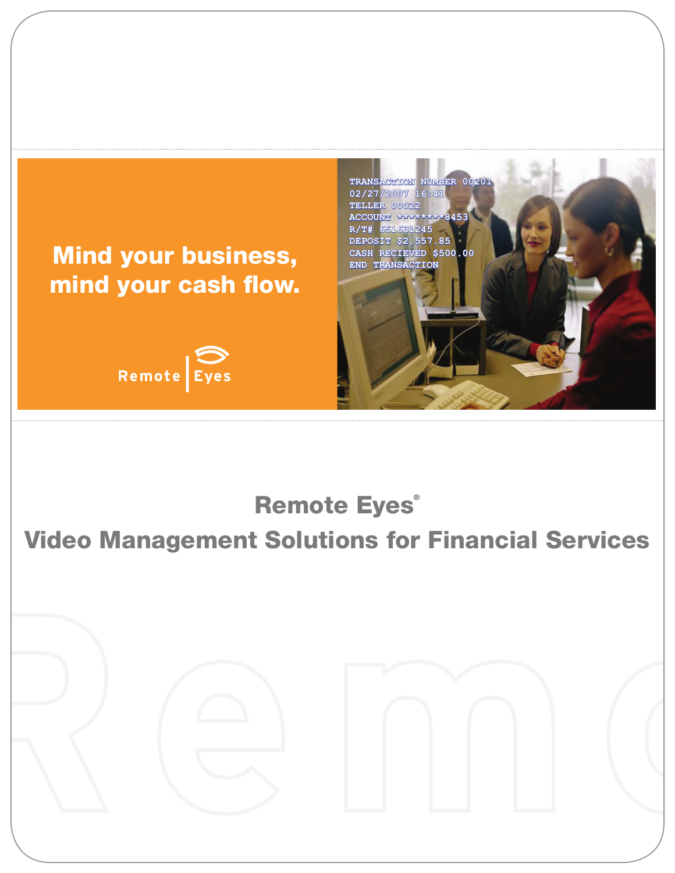

# Video Management Solutions for Financial Services